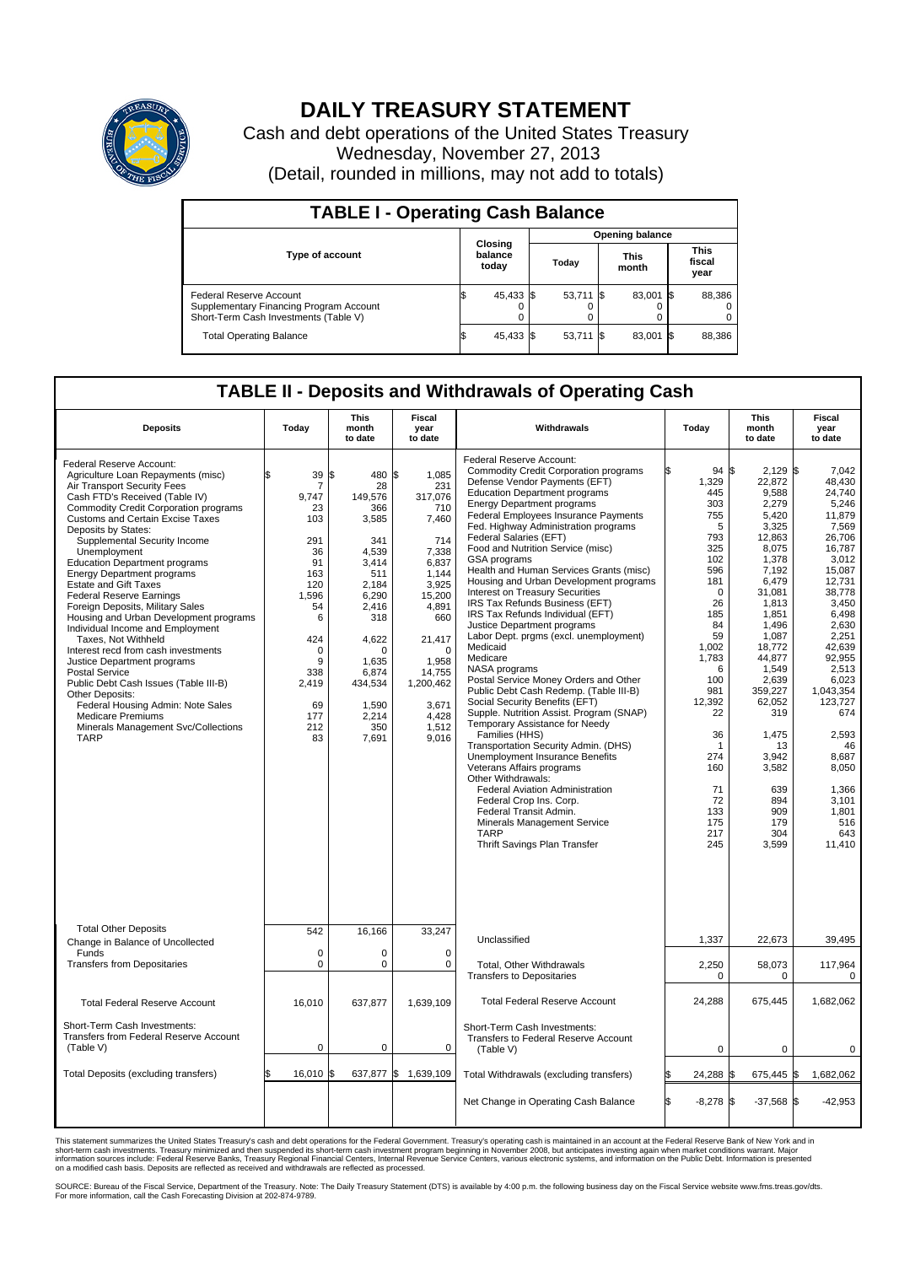

## **DAILY TREASURY STATEMENT**

Cash and debt operations of the United States Treasury Wednesday, November 27, 2013 (Detail, rounded in millions, may not add to totals)

| <b>TABLE I - Operating Cash Balance</b>                                                                     |  |                             |  |                        |  |                      |  |                               |  |
|-------------------------------------------------------------------------------------------------------------|--|-----------------------------|--|------------------------|--|----------------------|--|-------------------------------|--|
|                                                                                                             |  | Closing<br>balance<br>today |  | <b>Opening balance</b> |  |                      |  |                               |  |
| <b>Type of account</b>                                                                                      |  |                             |  | Today                  |  | <b>This</b><br>month |  | <b>This</b><br>fiscal<br>year |  |
| Federal Reserve Account<br>Supplementary Financing Program Account<br>Short-Term Cash Investments (Table V) |  | 45,433 \$                   |  | $53,711$ $\sqrt{5}$    |  | 83,001 \$            |  | 88,386                        |  |
| <b>Total Operating Balance</b>                                                                              |  | 45,433 \$                   |  | $53,711$ $\sqrt{5}$    |  | 83,001 \$            |  | 88,386                        |  |

## **TABLE II - Deposits and Withdrawals of Operating Cash**

| <b>Deposits</b>                                                                                                                                                                                                                                                                                                                                                                                                                                                                                                                                                                                                                                                                                                                                                                                                                                                              | Today                                                                                                                                                         | <b>This</b><br>month<br>to date                                                                                                                                                               | Fiscal<br>year<br>to date                                                                                                                                                                                 | Withdrawals                                                                                                                                                                                                                                                                                                                                                                                                                                                                                                                                                                                                                                                                                                                                                                                                                                                                                                                                                                                                                                                                                                                                                                                           | Today                                                                                                                                                                                                                                                     | <b>This</b><br>month<br>to date                                                                                                                                                                                                                                                                      | <b>Fiscal</b><br>year<br>to date                                                                                                                                                                                                                                                                                     |  |
|------------------------------------------------------------------------------------------------------------------------------------------------------------------------------------------------------------------------------------------------------------------------------------------------------------------------------------------------------------------------------------------------------------------------------------------------------------------------------------------------------------------------------------------------------------------------------------------------------------------------------------------------------------------------------------------------------------------------------------------------------------------------------------------------------------------------------------------------------------------------------|---------------------------------------------------------------------------------------------------------------------------------------------------------------|-----------------------------------------------------------------------------------------------------------------------------------------------------------------------------------------------|-----------------------------------------------------------------------------------------------------------------------------------------------------------------------------------------------------------|-------------------------------------------------------------------------------------------------------------------------------------------------------------------------------------------------------------------------------------------------------------------------------------------------------------------------------------------------------------------------------------------------------------------------------------------------------------------------------------------------------------------------------------------------------------------------------------------------------------------------------------------------------------------------------------------------------------------------------------------------------------------------------------------------------------------------------------------------------------------------------------------------------------------------------------------------------------------------------------------------------------------------------------------------------------------------------------------------------------------------------------------------------------------------------------------------------|-----------------------------------------------------------------------------------------------------------------------------------------------------------------------------------------------------------------------------------------------------------|------------------------------------------------------------------------------------------------------------------------------------------------------------------------------------------------------------------------------------------------------------------------------------------------------|----------------------------------------------------------------------------------------------------------------------------------------------------------------------------------------------------------------------------------------------------------------------------------------------------------------------|--|
| Federal Reserve Account:<br>Agriculture Loan Repayments (misc)<br>Air Transport Security Fees<br>Cash FTD's Received (Table IV)<br><b>Commodity Credit Corporation programs</b><br><b>Customs and Certain Excise Taxes</b><br>Deposits by States:<br>Supplemental Security Income<br>Unemployment<br><b>Education Department programs</b><br><b>Energy Department programs</b><br><b>Estate and Gift Taxes</b><br><b>Federal Reserve Earnings</b><br>Foreign Deposits, Military Sales<br>Housing and Urban Development programs<br>Individual Income and Employment<br>Taxes. Not Withheld<br>Interest recd from cash investments<br>Justice Department programs<br><b>Postal Service</b><br>Public Debt Cash Issues (Table III-B)<br>Other Deposits:<br>Federal Housing Admin: Note Sales<br><b>Medicare Premiums</b><br>Minerals Management Svc/Collections<br><b>TARP</b> | \$<br>39<br>7<br>9.747<br>23<br>103<br>291<br>36<br>91<br>163<br>120<br>1,596<br>54<br>6<br>424<br>$\mathbf 0$<br>9<br>338<br>2,419<br>69<br>177<br>212<br>83 | 480 \$<br>l\$<br>28<br>149.576<br>366<br>3,585<br>341<br>4.539<br>3,414<br>511<br>2,184<br>6,290<br>2,416<br>318<br>4,622<br>0<br>1,635<br>6,874<br>434,534<br>1,590<br>2,214<br>350<br>7,691 | 1,085<br>231<br>317,076<br>710<br>7,460<br>714<br>7,338<br>6,837<br>1,144<br>3,925<br>15,200<br>4,891<br>660<br>21,417<br>$\mathbf 0$<br>1,958<br>14,755<br>1,200,462<br>3,671<br>4,428<br>1,512<br>9,016 | Federal Reserve Account:<br><b>Commodity Credit Corporation programs</b><br>Defense Vendor Payments (EFT)<br><b>Education Department programs</b><br><b>Energy Department programs</b><br>Federal Employees Insurance Payments<br>Fed. Highway Administration programs<br>Federal Salaries (EFT)<br>Food and Nutrition Service (misc)<br>GSA programs<br>Health and Human Services Grants (misc)<br>Housing and Urban Development programs<br>Interest on Treasury Securities<br>IRS Tax Refunds Business (EFT)<br>IRS Tax Refunds Individual (EFT)<br>Justice Department programs<br>Labor Dept. prgms (excl. unemployment)<br>Medicaid<br>Medicare<br>NASA programs<br>Postal Service Money Orders and Other<br>Public Debt Cash Redemp. (Table III-B)<br>Social Security Benefits (EFT)<br>Supple. Nutrition Assist. Program (SNAP)<br>Temporary Assistance for Needy<br>Families (HHS)<br>Transportation Security Admin. (DHS)<br><b>Unemployment Insurance Benefits</b><br>Veterans Affairs programs<br>Other Withdrawals:<br>Federal Aviation Administration<br>Federal Crop Ins. Corp.<br>Federal Transit Admin.<br>Minerals Management Service<br><b>TARP</b><br>Thrift Savings Plan Transfer | ß.<br>94<br>1,329<br>445<br>303<br>755<br>5<br>793<br>325<br>102<br>596<br>181<br>$\mathbf 0$<br>26<br>185<br>84<br>59<br>1,002<br>1,783<br>6<br>100<br>981<br>12,392<br>22<br>36<br>$\overline{1}$<br>274<br>160<br>71<br>72<br>133<br>175<br>217<br>245 | \$<br>2.129<br>22,872<br>9,588<br>2,279<br>5,420<br>3,325<br>12,863<br>8,075<br>1,378<br>7,192<br>6,479<br>31,081<br>1,813<br>1,851<br>1,496<br>1,087<br>18,772<br>44,877<br>1,549<br>2.639<br>359,227<br>62,052<br>319<br>1,475<br>13<br>3.942<br>3,582<br>639<br>894<br>909<br>179<br>304<br>3,599 | l\$<br>7.042<br>48.430<br>24,740<br>5,246<br>11,879<br>7,569<br>26.706<br>16,787<br>3.012<br>15,087<br>12,731<br>38,778<br>3.450<br>6,498<br>2,630<br>2,251<br>42.639<br>92,955<br>2,513<br>6.023<br>1,043,354<br>123,727<br>674<br>2,593<br>46<br>8.687<br>8,050<br>1,366<br>3,101<br>1,801<br>516<br>643<br>11,410 |  |
| <b>Total Other Deposits</b><br>Change in Balance of Uncollected                                                                                                                                                                                                                                                                                                                                                                                                                                                                                                                                                                                                                                                                                                                                                                                                              | 542                                                                                                                                                           | 16,166                                                                                                                                                                                        | 33,247                                                                                                                                                                                                    | Unclassified                                                                                                                                                                                                                                                                                                                                                                                                                                                                                                                                                                                                                                                                                                                                                                                                                                                                                                                                                                                                                                                                                                                                                                                          | 1,337                                                                                                                                                                                                                                                     | 22,673                                                                                                                                                                                                                                                                                               | 39,495                                                                                                                                                                                                                                                                                                               |  |
| Funds<br><b>Transfers from Depositaries</b>                                                                                                                                                                                                                                                                                                                                                                                                                                                                                                                                                                                                                                                                                                                                                                                                                                  | $\mathbf 0$<br>$\mathbf 0$                                                                                                                                    | 0<br>0                                                                                                                                                                                        | $\mathbf 0$<br>$\mathbf 0$                                                                                                                                                                                | Total, Other Withdrawals<br><b>Transfers to Depositaries</b>                                                                                                                                                                                                                                                                                                                                                                                                                                                                                                                                                                                                                                                                                                                                                                                                                                                                                                                                                                                                                                                                                                                                          | 2,250<br>$\mathbf 0$                                                                                                                                                                                                                                      | 58,073<br>$\mathbf 0$                                                                                                                                                                                                                                                                                | 117,964<br>$\Omega$                                                                                                                                                                                                                                                                                                  |  |
| <b>Total Federal Reserve Account</b>                                                                                                                                                                                                                                                                                                                                                                                                                                                                                                                                                                                                                                                                                                                                                                                                                                         | 16,010                                                                                                                                                        | 637,877                                                                                                                                                                                       | 1,639,109                                                                                                                                                                                                 | <b>Total Federal Reserve Account</b>                                                                                                                                                                                                                                                                                                                                                                                                                                                                                                                                                                                                                                                                                                                                                                                                                                                                                                                                                                                                                                                                                                                                                                  | 24,288                                                                                                                                                                                                                                                    | 675,445                                                                                                                                                                                                                                                                                              | 1,682,062                                                                                                                                                                                                                                                                                                            |  |
| Short-Term Cash Investments:<br>Transfers from Federal Reserve Account<br>(Table V)                                                                                                                                                                                                                                                                                                                                                                                                                                                                                                                                                                                                                                                                                                                                                                                          | $\mathbf 0$                                                                                                                                                   | 0                                                                                                                                                                                             | 0                                                                                                                                                                                                         | Short-Term Cash Investments:<br>Transfers to Federal Reserve Account<br>(Table V)                                                                                                                                                                                                                                                                                                                                                                                                                                                                                                                                                                                                                                                                                                                                                                                                                                                                                                                                                                                                                                                                                                                     | $\mathbf 0$                                                                                                                                                                                                                                               | $\mathbf 0$                                                                                                                                                                                                                                                                                          | $\mathbf 0$                                                                                                                                                                                                                                                                                                          |  |
| Total Deposits (excluding transfers)                                                                                                                                                                                                                                                                                                                                                                                                                                                                                                                                                                                                                                                                                                                                                                                                                                         | \$.<br>16,010 \$                                                                                                                                              | 637,877 \$                                                                                                                                                                                    | 1,639,109                                                                                                                                                                                                 | Total Withdrawals (excluding transfers)                                                                                                                                                                                                                                                                                                                                                                                                                                                                                                                                                                                                                                                                                                                                                                                                                                                                                                                                                                                                                                                                                                                                                               | 24,288                                                                                                                                                                                                                                                    | 675,445<br>\$                                                                                                                                                                                                                                                                                        | 1,682,062<br>1\$                                                                                                                                                                                                                                                                                                     |  |
|                                                                                                                                                                                                                                                                                                                                                                                                                                                                                                                                                                                                                                                                                                                                                                                                                                                                              |                                                                                                                                                               |                                                                                                                                                                                               |                                                                                                                                                                                                           | Net Change in Operating Cash Balance                                                                                                                                                                                                                                                                                                                                                                                                                                                                                                                                                                                                                                                                                                                                                                                                                                                                                                                                                                                                                                                                                                                                                                  | S.<br>$-8,278$                                                                                                                                                                                                                                            | $-37,568$ \$<br>S.                                                                                                                                                                                                                                                                                   | $-42,953$                                                                                                                                                                                                                                                                                                            |  |

This statement summarizes the United States Treasury's cash and debt operations for the Federal Government. Treasury's operating cash is maintained in an account at the Federal Reserve Bank of New York and in<br>short-term ca

SOURCE: Bureau of the Fiscal Service, Department of the Treasury. Note: The Daily Treasury Statement (DTS) is available by 4:00 p.m. the following business day on the Fiscal Service website www.fms.treas.gov/dts.<br>For more